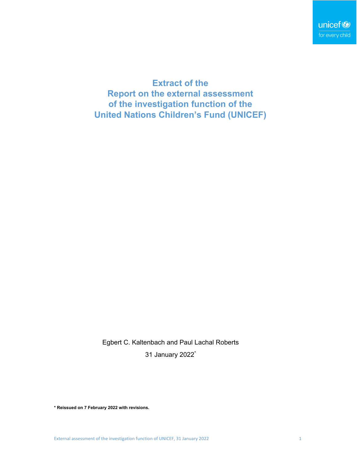**Extract of the Report on the external assessment of the investigation function of the United Nations Children's Fund (UNICEF)**

Egbert C. Kaltenbach and Paul Lachal Roberts 31 January 2022\*

**\* Reissued on 7 February 2022 with revisions.**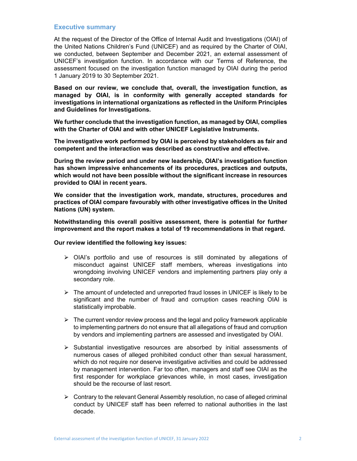# **Executive summary**

At the request of the Director of the Office of Internal Audit and Investigations (OIAI) of the United Nations Children's Fund (UNICEF) and as required by the Charter of OIAI, we conducted, between September and December 2021, an external assessment of UNICEF's investigation function. In accordance with our Terms of Reference, the assessment focused on the investigation function managed by OIAI during the period 1 January 2019 to 30 September 2021.

**Based on our review, we conclude that, overall, the investigation function, as managed by OIAI, is in conformity with generally accepted standards for investigations in international organizations as reflected in the Uniform Principles and Guidelines for Investigations.** 

**We further conclude that the investigation function, as managed by OIAI, complies with the Charter of OIAI and with other UNICEF Legislative Instruments.** 

**The investigative work performed by OIAI is perceived by stakeholders as fair and competent and the interaction was described as constructive and effective.** 

**During the review period and under new leadership, OIAI's investigation function has shown impressive enhancements of its procedures, practices and outputs, which would not have been possible without the significant increase in resources provided to OIAI in recent years.** 

**We consider that the investigation work, mandate, structures, procedures and practices of OIAI compare favourably with other investigative offices in the United Nations (UN) system.** 

**Notwithstanding this overall positive assessment, there is potential for further improvement and the report makes a total of 19 recommendations in that regard.** 

### **Our review identified the following key issues:**

- $\triangleright$  OIAI's portfolio and use of resources is still dominated by allegations of misconduct against UNICEF staff members, whereas investigations into wrongdoing involving UNICEF vendors and implementing partners play only a secondary role.
- $\triangleright$  The amount of undetected and unreported fraud losses in UNICEF is likely to be significant and the number of fraud and corruption cases reaching OIAI is statistically improbable.
- $\triangleright$  The current vendor review process and the legal and policy framework applicable to implementing partners do not ensure that all allegations of fraud and corruption by vendors and implementing partners are assessed and investigated by OIAI.
- $\triangleright$  Substantial investigative resources are absorbed by initial assessments of numerous cases of alleged prohibited conduct other than sexual harassment, which do not require nor deserve investigative activities and could be addressed by management intervention. Far too often, managers and staff see OIAI as the first responder for workplace grievances while, in most cases, investigation should be the recourse of last resort.
- $\triangleright$  Contrary to the relevant General Assembly resolution, no case of alleged criminal conduct by UNICEF staff has been referred to national authorities in the last decade.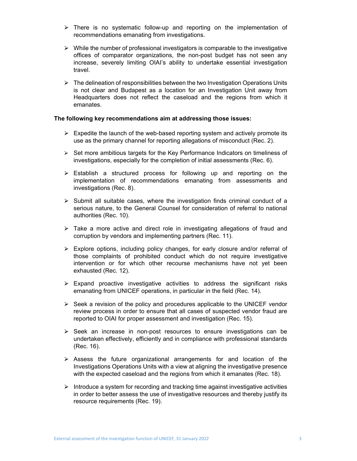- $\triangleright$  There is no systematic follow-up and reporting on the implementation of recommendations emanating from investigations.
- $\triangleright$  While the number of professional investigators is comparable to the investigative offices of comparator organizations, the non-post budget has not seen any increase, severely limiting OIAI's ability to undertake essential investigation travel.
- $\triangleright$  The delineation of responsibilities between the two Investigation Operations Units is not clear and Budapest as a location for an Investigation Unit away from Headquarters does not reflect the caseload and the regions from which it emanates.

# **The following key recommendations aim at addressing those issues:**

- $\triangleright$  Expedite the launch of the web-based reporting system and actively promote its use as the primary channel for reporting allegations of misconduct (Rec. 2).
- $\triangleright$  Set more ambitious targets for the Key Performance Indicators on timeliness of investigations, especially for the completion of initial assessments (Rec. 6).
- $\triangleright$  Establish a structured process for following up and reporting on the implementation of recommendations emanating from assessments and investigations (Rec. 8).
- $\triangleright$  Submit all suitable cases, where the investigation finds criminal conduct of a serious nature, to the General Counsel for consideration of referral to national authorities (Rec. 10).
- $\geq$  Take a more active and direct role in investigating allegations of fraud and corruption by vendors and implementing partners (Rec. 11).
- $\triangleright$  Explore options, including policy changes, for early closure and/or referral of those complaints of prohibited conduct which do not require investigative intervention or for which other recourse mechanisms have not yet been exhausted (Rec. 12).
- $\triangleright$  Expand proactive investigative activities to address the significant risks emanating from UNICEF operations, in particular in the field (Rec. 14).
- $\geq$  Seek a revision of the policy and procedures applicable to the UNICEF vendor review process in order to ensure that all cases of suspected vendor fraud are reported to OIAI for proper assessment and investigation (Rec. 15).
- $\triangleright$  Seek an increase in non-post resources to ensure investigations can be undertaken effectively, efficiently and in compliance with professional standards (Rec. 16).
- $\triangleright$  Assess the future organizational arrangements for and location of the Investigations Operations Units with a view at aligning the investigative presence with the expected caseload and the regions from which it emanates (Rec. 18).
- $\triangleright$  Introduce a system for recording and tracking time against investigative activities in order to better assess the use of investigative resources and thereby justify its resource requirements (Rec. 19).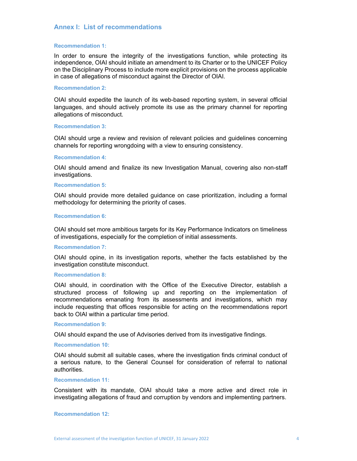# **Annex I: List of recommendations**

### **Recommendation 1:**

In order to ensure the integrity of the investigations function, while protecting its independence, OIAI should initiate an amendment to its Charter or to the UNICEF Policy on the Disciplinary Process to include more explicit provisions on the process applicable in case of allegations of misconduct against the Director of OIAI.

# **Recommendation 2:**

OIAI should expedite the launch of its web-based reporting system, in several official languages, and should actively promote its use as the primary channel for reporting allegations of misconduct.

### **Recommendation 3:**

OIAI should urge a review and revision of relevant policies and guidelines concerning channels for reporting wrongdoing with a view to ensuring consistency.

### **Recommendation 4:**

OIAI should amend and finalize its new Investigation Manual, covering also non-staff investigations.

### **Recommendation 5:**

OIAI should provide more detailed guidance on case prioritization, including a formal methodology for determining the priority of cases.

### **Recommendation 6:**

OIAI should set more ambitious targets for its Key Performance Indicators on timeliness of investigations, especially for the completion of initial assessments.

### **Recommendation 7:**

OIAI should opine, in its investigation reports, whether the facts established by the investigation constitute misconduct.

### **Recommendation 8:**

OIAI should, in coordination with the Office of the Executive Director, establish a structured process of following up and reporting on the implementation of recommendations emanating from its assessments and investigations, which may include requesting that offices responsible for acting on the recommendations report back to OIAI within a particular time period.

#### **Recommendation 9:**

OIAI should expand the use of Advisories derived from its investigative findings.

# **Recommendation 10:**

OIAI should submit all suitable cases, where the investigation finds criminal conduct of a serious nature, to the General Counsel for consideration of referral to national authorities.

#### **Recommendation 11:**

Consistent with its mandate, OIAI should take a more active and direct role in investigating allegations of fraud and corruption by vendors and implementing partners.

### **Recommendation 12:**